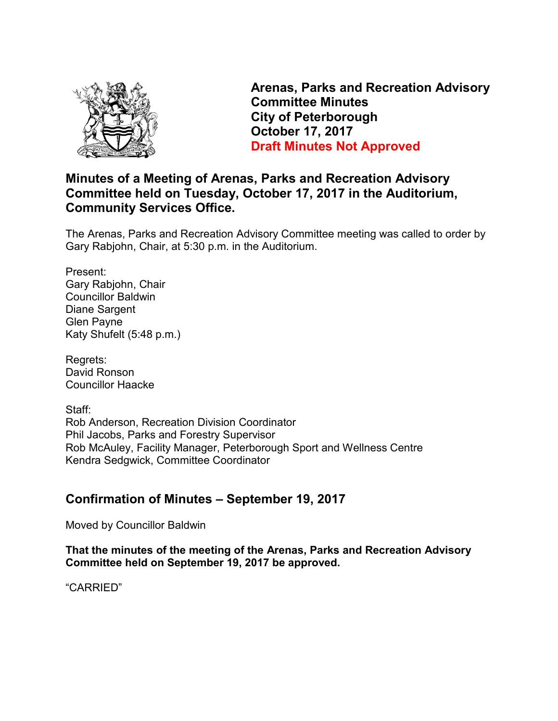

**Arenas, Parks and Recreation Advisory Committee Minutes City of Peterborough October 17, 2017 Draft Minutes Not Approved** 

# **Minutes of a Meeting of Arenas, Parks and Recreation Advisory Committee held on Tuesday, October 17, 2017 in the Auditorium, Community Services Office.**

The Arenas, Parks and Recreation Advisory Committee meeting was called to order by Gary Rabjohn, Chair, at 5:30 p.m. in the Auditorium.

Present: Gary Rabjohn, Chair Councillor Baldwin Diane Sargent Glen Payne Katy Shufelt (5:48 p.m.)

Regrets: David Ronson Councillor Haacke

Staff: Rob Anderson, Recreation Division Coordinator Phil Jacobs, Parks and Forestry Supervisor Rob McAuley, Facility Manager, Peterborough Sport and Wellness Centre Kendra Sedgwick, Committee Coordinator

# **Confirmation of Minutes – September 19, 2017**

Moved by Councillor Baldwin

**That the minutes of the meeting of the Arenas, Parks and Recreation Advisory Committee held on September 19, 2017 be approved.** 

"CARRIED"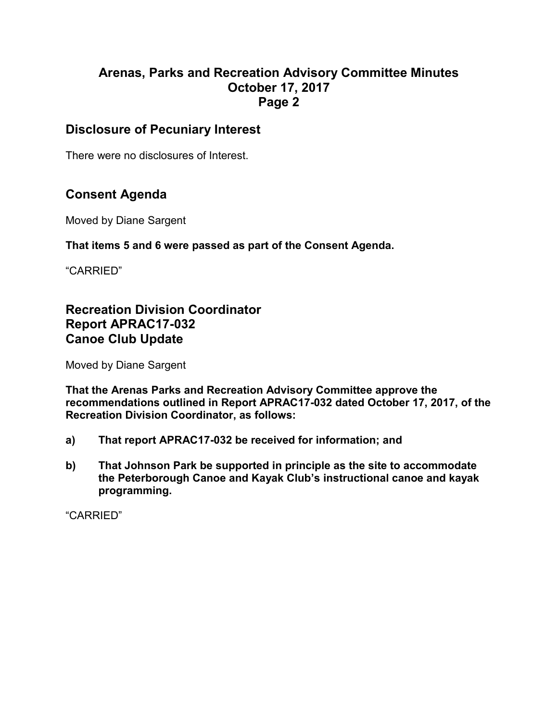# **Disclosure of Pecuniary Interest**

There were no disclosures of Interest.

# **Consent Agenda**

Moved by Diane Sargent

#### **That items 5 and 6 were passed as part of the Consent Agenda.**

"CARRIED"

# **Recreation Division Coordinator Report APRAC17-032 Canoe Club Update**

Moved by Diane Sargent

**That the Arenas Parks and Recreation Advisory Committee approve the recommendations outlined in Report APRAC17-032 dated October 17, 2017, of the Recreation Division Coordinator, as follows:** 

- **a) That report APRAC17-032 be received for information; and**
- **b) That Johnson Park be supported in principle as the site to accommodate the Peterborough Canoe and Kayak Club's instructional canoe and kayak programming.**

"CARRIED"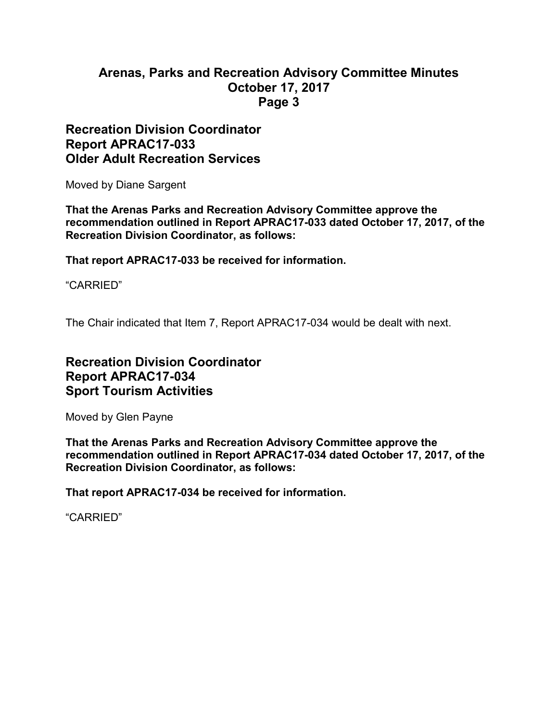### **Recreation Division Coordinator Report APRAC17-033 Older Adult Recreation Services**

Moved by Diane Sargent

**That the Arenas Parks and Recreation Advisory Committee approve the recommendation outlined in Report APRAC17-033 dated October 17, 2017, of the Recreation Division Coordinator, as follows:** 

**That report APRAC17-033 be received for information.** 

"CARRIED"

The Chair indicated that Item 7, Report APRAC17-034 would be dealt with next.

# **Recreation Division Coordinator Report APRAC17-034 Sport Tourism Activities**

Moved by Glen Payne

**That the Arenas Parks and Recreation Advisory Committee approve the recommendation outlined in Report APRAC17-034 dated October 17, 2017, of the Recreation Division Coordinator, as follows:** 

**That report APRAC17-034 be received for information.** 

"CARRIED"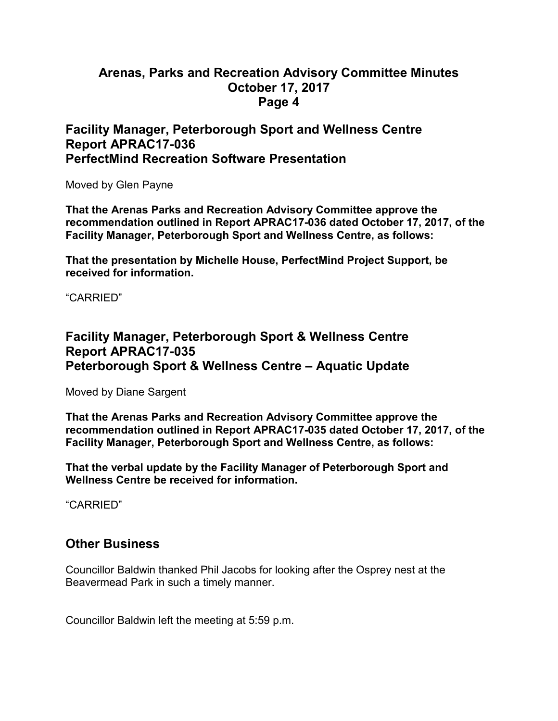### **Facility Manager, Peterborough Sport and Wellness Centre Report APRAC17-036 PerfectMind Recreation Software Presentation**

Moved by Glen Payne

**That the Arenas Parks and Recreation Advisory Committee approve the recommendation outlined in Report APRAC17-036 dated October 17, 2017, of the Facility Manager, Peterborough Sport and Wellness Centre, as follows:** 

**That the presentation by Michelle House, PerfectMind Project Support, be received for information.** 

"CARRIED"

# **Facility Manager, Peterborough Sport & Wellness Centre Report APRAC17-035 Peterborough Sport & Wellness Centre – Aquatic Update**

Moved by Diane Sargent

**That the Arenas Parks and Recreation Advisory Committee approve the recommendation outlined in Report APRAC17-035 dated October 17, 2017, of the Facility Manager, Peterborough Sport and Wellness Centre, as follows:** 

**That the verbal update by the Facility Manager of Peterborough Sport and Wellness Centre be received for information.** 

"CARRIED"

### **Other Business**

Councillor Baldwin thanked Phil Jacobs for looking after the Osprey nest at the Beavermead Park in such a timely manner.

Councillor Baldwin left the meeting at 5:59 p.m.